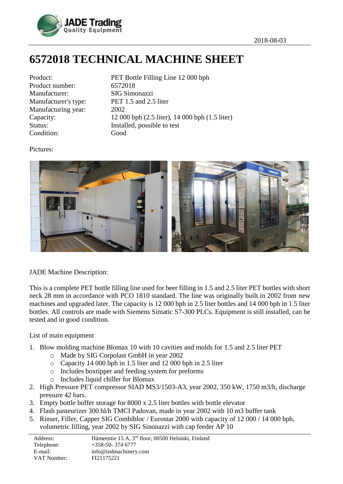

## **6572018 TECHNICAL MACHINE SHEET**

| Product:             |
|----------------------|
| Product number:      |
| Manufacturer:        |
| Manufacturer's type: |
| Manufacturing year:  |
| Capacity:            |
| Status:              |
| Condition:           |

PET Bottle Filling Line 12 000 bph 6572018 SIG Simonazzi PET  $1.5$  and  $2.5$  liter 2002  $12\,000$  bph  $(2.5$  liter),  $14\,000$  bph  $(1.5)$  liter) Installed, possible to test Good

Pictures:



## JADE Machine Description:

This is a complete PET bottle filling line used for beer filling in 1.5 and 2.5 liter PET bottles with short neck 28 mm in accordance with PCO 1810 standard. The line was originally built in 2002 from new machines and upgraded later. The capacity is 12 000 bph in 2.5 liter bottles and 14 000 bph in 1.5 liter bottles. All controls are made with Siemens Simatic S7-300 PLCs. Equipment is still installed, can be tested and in good condition.

List of main equipment

- 1. Blow molding machine Blomax 10 with 10 cavities and molds for 1.5 and 2.5 liter PET
	- o Made by SIG Corpolast GmbH in year 2002
	- o Capacity 14 000 bph in 1.5 liter and 12 000 bph in 2.5 liter
	- o Includes boxtipper and feeding system for preforms
	- o Includes liquid chiller for Blomax
- 2. High Pressure PET compressor SIAD MS3/1503-A3, year 2002, 350 kW, 1750 m3/h, discharge pressure 42 bars.
- 3. Empty bottle buffer storage for 8000 x 2.5 liter bottles with bottle elevator
- 4. Flash pasteurizer 300 hl/h TMCI Padovan, made in year 2002 with 10 m3 buffer tank
- 5. Rinser, Filler, Capper SIG Combibloc / Eurostar 2000 with capacity of 12 000 / 14 000 bph, volumetric filling, year 2002 by SIG Sinonazzi with cap feeder AP 10

| Address:    | Hämeentie 15 A, 3 <sup>rd</sup> floor, 00500 Helsinki, Finland |
|-------------|----------------------------------------------------------------|
| Telephone:  | $+358-50-3746777$                                              |
| E-mail:     | info@indmachinery.com                                          |
| VAT Number: | FI21175221                                                     |